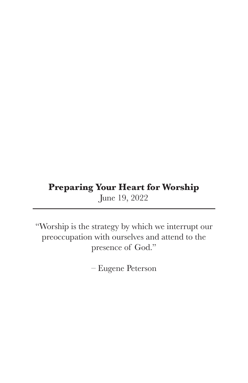## **Preparing Your Heart for Worship** June 19, 2022

"Worship is the strategy by which we interrupt our preoccupation with ourselves and attend to the presence of God."

– Eugene Peterson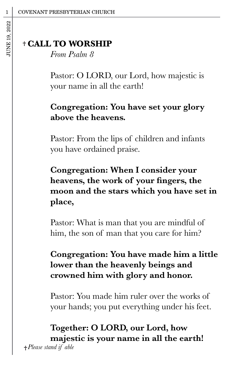# **CALL TO WORSHIP**

*From Psalm 8*

Pastor: O LORD, our Lord, how majestic is your name in all the earth!

#### **Congregation: You have set your glory above the heavens.**

Pastor: From the lips of children and infants you have ordained praise.

**Congregation: When I consider your heavens, the work of your fingers, the moon and the stars which you have set in place,**

Pastor: What is man that you are mindful of him, the son of man that you care for him?

# **Congregation: You have made him a little lower than the heavenly beings and crowned him with glory and honor.**

Pastor: You made him ruler over the works of your hands; you put everything under his feet.

# **Together: O LORD, our Lord, how majestic is your name in all the earth!**

*Please stand if able*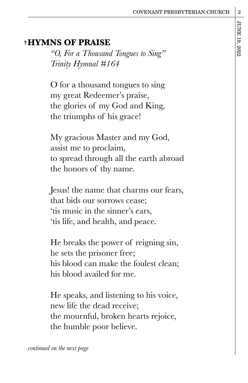#### **HYMNS OF PRAISE**

*"O, For a Thousand Tongues to Sing" Trinity Hymnal #164*

O for a thousand tongues to sing my great Redeemer's praise, the glories of my God and King, the triumphs of his grace!

My gracious Master and my God, assist me to proclaim, to spread through all the earth abroad the honors of thy name.

Jesus! the name that charms our fears, that bids our sorrows cease; 'tis music in the sinner's ears, 'tis life, and health, and peace.

He breaks the power of reigning sin, he sets the prisoner free; his blood can make the foulest clean; his blood availed for me.

He speaks, and listening to his voice, new life the dead receive; the mournful, broken hearts rejoice, the humble poor believe.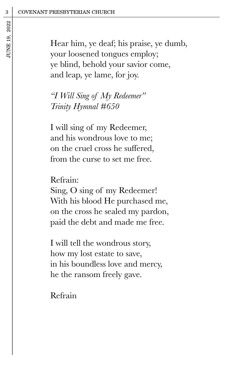Hear him, ye deaf; his praise, ye dumb, your loosened tongues employ; ye blind, behold your savior come, and leap, ye lame, for joy.

*"I Will Sing of My Redeemer" Trinity Hymnal #650*

I will sing of my Redeemer, and his wondrous love to me; on the cruel cross he suffered, from the curse to set me free.

Refrain:

Sing, O sing of my Redeemer! With his blood He purchased me, on the cross he sealed my pardon, paid the debt and made me free.

I will tell the wondrous story, how my lost estate to save, in his boundless love and mercy, he the ransom freely gave.

Refrain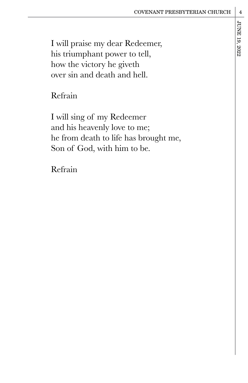I will praise my dear Redeemer, his triumphant power to tell, how the victory he giveth over sin and death and hell.

Refrain

I will sing of my Redeemer and his heavenly love to me; he from death to life has brought me, Son of God, with him to be.

Refrain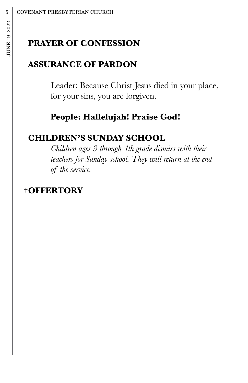## **PRAYER OF CONFESSION**

#### **ASSURANCE OF PARDON**

Leader: Because Christ Jesus died in your place, for your sins, you are forgiven.

#### **People: Hallelujah! Praise God!**

#### **CHILDREN'S SUNDAY SCHOOL**

*Children ages 3 through 4th grade dismiss with their teachers for Sunday school. They will return at the end of the service.*

#### **OFFERTORY**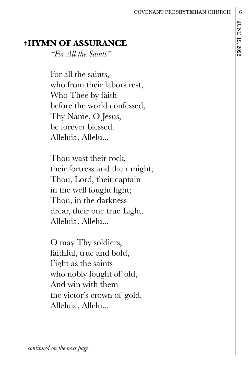#### **HYMN OF ASSURANCE**

*"For All the Saints"* 

For all the saints, who from their labors rest, Who Thee by faith before the world confessed, Thy Name, O Jesus, be forever blessed. Alleluia, Allelu...

Thou wast their rock, their fortress and their might; Thou, Lord, their captain in the well fought fight; Thou, in the darkness drear, their one true Light. Alleluia, Allelu...

O may Thy soldiers, faithful, true and bold, Fight as the saints who nobly fought of old, And win with them the victor's crown of gold. Alleluia, Allelu...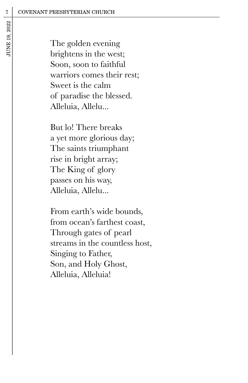The golden evening brightens in the west; Soon, soon to faithful warriors comes their rest; Sweet is the calm of paradise the blessed. Alleluia, Allelu...

But lo! There breaks a yet more glorious day; The saints triumphant rise in bright array; The King of glory passes on his way, Alleluia, Allelu...

From earth's wide bounds, from ocean's farthest coast, Through gates of pearl streams in the countless host, Singing to Father, Son, and Holy Ghost, Alleluia, Alleluia!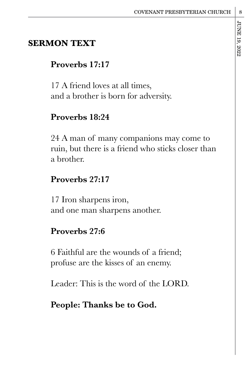## **SERMON TEXT**

## **Proverbs 17:17**

17 A friend loves at all times, and a brother is born for adversity.

## **Proverbs 18:24**

24 A man of many companions may come to ruin, but there is a friend who sticks closer than a brother.

# **Proverbs 27:17**

17 Iron sharpens iron, and one man sharpens another.

# **Proverbs 27:6**

6 Faithful are the wounds of a friend; profuse are the kisses of an enemy.

Leader: This is the word of the LORD.

# **People: Thanks be to God.**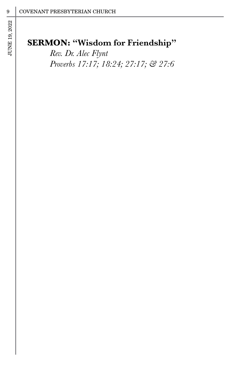# **SERMON: "Wisdom for Friendship"**

*Rev. Dr. Alec Flynt Proverbs 17:17; 18:24; 27:17; & 27:6*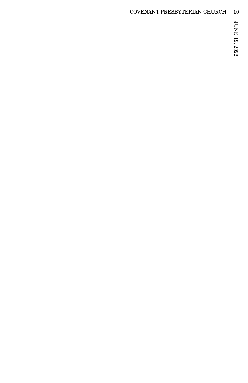#### COVENANT PRESBYTERIAN CHURCH 10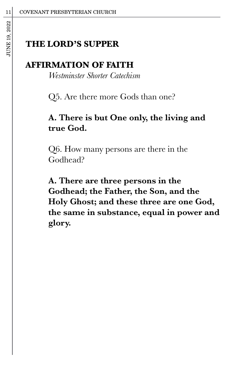### **THE LORD'S SUPPER**

#### **AFFIRMATION OF FAITH**

*Westminster Shorter Catechism*

Q5. Are there more Gods than one?

### **A. There is but One only, the living and true God.**

Q6. How many persons are there in the Godhead?

**A. There are three persons in the Godhead; the Father, the Son, and the Holy Ghost; and these three are one God, the same in substance, equal in power and glory.**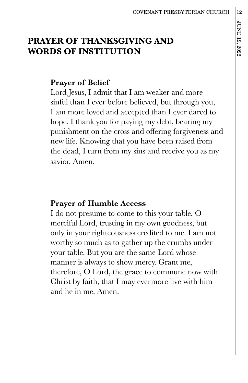### **PRAYER OF THANKSGIVING AND WORDS OF INSTITUTION**

#### **Prayer of Belief**

Lord Jesus, I admit that I am weaker and more sinful than I ever before believed, but through you, I am more loved and accepted than I ever dared to hope. I thank you for paying my debt, bearing my punishment on the cross and offering forgiveness and new life. Knowing that you have been raised from the dead, I turn from my sins and receive you as my savior. Amen.

#### **Prayer of Humble Access**

I do not presume to come to this your table, O merciful Lord, trusting in my own goodness, but only in your righteousness credited to me. I am not worthy so much as to gather up the crumbs under your table. But you are the same Lord whose manner is always to show mercy. Grant me, therefore, O Lord, the grace to commune now with Christ by faith, that I may evermore live with him and he in me. Amen.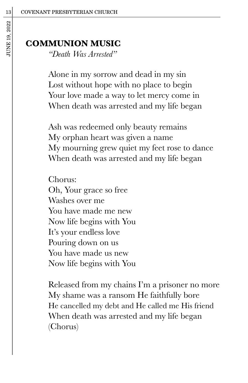#### **COMMUNION MUSIC**

*"Death Was Arrested"* 

Alone in my sorrow and dead in my sin Lost without hope with no place to begin Your love made a way to let mercy come in When death was arrested and my life began

Ash was redeemed only beauty remains My orphan heart was given a name My mourning grew quiet my feet rose to dance When death was arrested and my life began

Chorus: Oh, Your grace so free Washes over me You have made me new Now life begins with You It's your endless love Pouring down on us You have made us new Now life begins with You

Released from my chains I'm a prisoner no more My shame was a ransom He faithfully bore He cancelled my debt and He called me His friend When death was arrested and my life began (Chorus)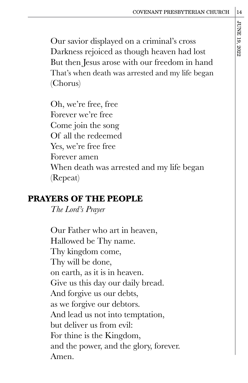Our savior displayed on a criminal's cross Darkness rejoiced as though heaven had lost But then Jesus arose with our freedom in hand That's when death was arrested and my life began (Chorus)

Oh, we're free, free Forever we're free Come join the song Of all the redeemed Yes, we're free free Forever amen When death was arrested and my life began (Repeat)

#### **PRAYERS OF THE PEOPLE**

*The Lord's Prayer*

Our Father who art in heaven, Hallowed be Thy name. Thy kingdom come, Thy will be done, on earth, as it is in heaven. Give us this day our daily bread. And forgive us our debts, as we forgive our debtors. And lead us not into temptation, but deliver us from evil: For thine is the Kingdom, and the power, and the glory, forever. Amen.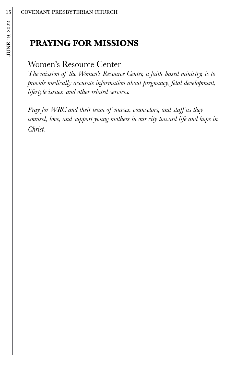# **PRAYING FOR MISSIONS**

#### Women's Resource Center

*The mission of the Women's Resource Center, a faith-based ministry, is to provide medically accurate information about pregnancy, fetal development, lifestyle issues, and other related services.* 

*Pray for WRC and their team of nurses, counselors, and staff as they counsel, love, and support young mothers in our city toward life and hope in Christ.*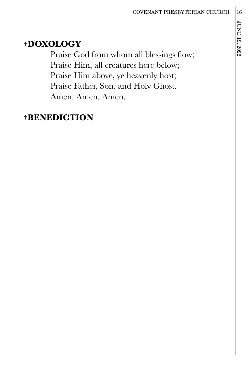### **DOXOLOGY**

 Praise God from whom all blessings flow; Praise Him, all creatures here below; Praise Him above, ye heavenly host; Praise Father, Son, and Holy Ghost. Amen. Amen. Amen.

# **BENEDICTION**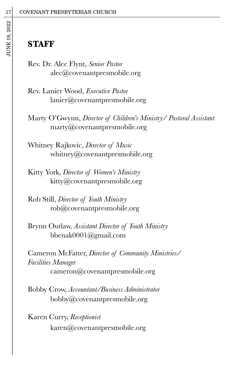#### **STAFF**

Rev. Dr. Alec Flynt, *Senior Pastor* alec@covenantpresmobile.org

Rev. Lanier Wood, *Executive Pastor*  lanier@covenantpresmobile.org

Marty O'Gwynn, *Director of Children's Ministry/ Pastoral Assistant* marty@covenantpresmobile.org

Whitney Rajkovic, *Director of Music* whitney@covenantpresmobile.org

Kitty York, *Director of Women's Ministry*  kitty@covenantpresmobile.org

Rob Still, *Director of Youth Ministry*  rob@covenantpresmobile.org

Brynn Outlaw, *Assistant Director of Youth Ministry*  bbenak0001@gmail.com

Cameron McFatter, *Director of Community Ministries/ Facilities Manager* cameron@covenantpresmobile.org

Bobby Crow, *Accountant/Business Administrator* bobby@covenantpresmobile.org

Karen Curry, *Receptionist* karen@covenantpresmobile.org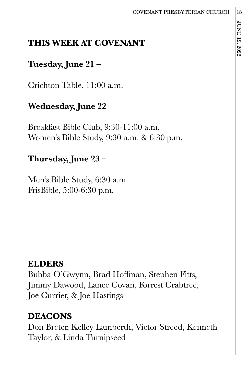### **THIS WEEK AT COVENANT**

# **Tuesday, June 21 –**

Crichton Table, 11:00 a.m.

#### **Wednesday, June 22** –

Breakfast Bible Club, 9:30-11:00 a.m. Women's Bible Study, 9:30 a.m. & 6:30 p.m.

#### **Thursday, June 23** –

Men's Bible Study, 6:30 a.m. FrisBible, 5:00-6:30 p.m.

#### **ELDERS**

Bubba O'Gwynn, Brad Hoffman, Stephen Fitts, Jimmy Dawood, Lance Covan, Forrest Crabtree, Joe Currier, & Joe Hastings

#### **DEACONS**

Don Breter, Kelley Lamberth, Victor Streed, Kenneth Taylor, & Linda Turnipseed